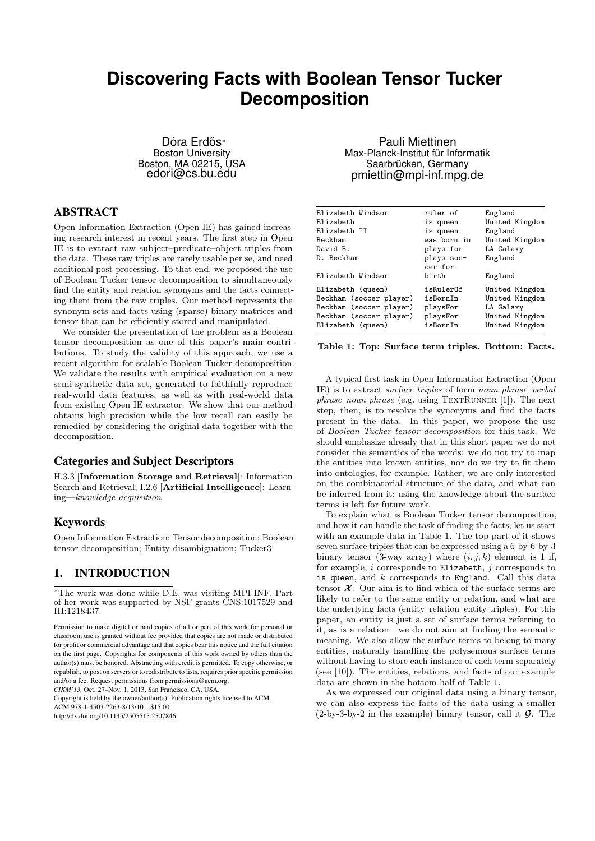# **Discovering Facts with Boolean Tensor Tucker Decomposition**

Dóra Erdős<sup>∗</sup> Boston University Boston, MA 02215, USA edori@cs.bu.edu

## ABSTRACT

Open Information Extraction (Open IE) has gained increasing research interest in recent years. The first step in Open IE is to extract raw subject–predicate–object triples from the data. These raw triples are rarely usable per se, and need additional post-processing. To that end, we proposed the use of Boolean Tucker tensor decomposition to simultaneously find the entity and relation synonyms and the facts connecting them from the raw triples. Our method represents the synonym sets and facts using (sparse) binary matrices and tensor that can be efficiently stored and manipulated.

We consider the presentation of the problem as a Boolean tensor decomposition as one of this paper's main contributions. To study the validity of this approach, we use a recent algorithm for scalable Boolean Tucker decomposition. We validate the results with empirical evaluation on a new semi-synthetic data set, generated to faithfully reproduce real-world data features, as well as with real-world data from existing Open IE extractor. We show that our method obtains high precision while the low recall can easily be remedied by considering the original data together with the decomposition.

## Categories and Subject Descriptors

H.3.3 [Information Storage and Retrieval]: Information Search and Retrieval; I.2.6 [Artificial Intelligence]: Learn- $\it ing—knowledge\,\, acquisition$ 

## Keywords

Open Information Extraction; Tensor decomposition; Boolean tensor decomposition; Entity disambiguation; Tucker3

## 1. INTRODUCTION

<sup>∗</sup>The work was done while D.E. was visiting MPI-INF. Part of her work was supported by NSF grants CNS:1017529 and III:1218437.

*CIKM'13,* Oct. 27–Nov. 1, 2013, San Francisco, CA, USA.

Copyright is held by the owner/author(s). Publication rights licensed to ACM. ACM 978-1-4503-2263-8/13/10 \$15.00

http://dx.doi.org/10.1145/2505515.2507846.

Pauli Miettinen Max-Planck-Institut für Informatik Saarbrücken, Germany pmiettin@mpi-inf.mpg.de

| Elizabeth Windsor<br>Elizabeth | ruler of<br>is queen | England<br>United Kingdom |
|--------------------------------|----------------------|---------------------------|
| Elizabeth II                   | is queen             | England                   |
| Beckham                        | was born in          | United Kingdom            |
| David B.                       | plays for            | LA Galaxy                 |
| D. Beckham                     | plays soc-           | England                   |
|                                | cer for              |                           |
| Elizabeth Windsor              | birth                | England                   |
| Elizabeth (queen)              | isRulerOf            | United Kingdom            |
| Beckham (soccer player)        | isBornIn             | United Kingdom            |
| Beckham (soccer player)        | playsFor             | LA Galaxy                 |
| Beckham (soccer player)        | playsFor             | United Kingdom            |
| Elizabeth (queen)              | isBornIn             | United Kingdom            |

Table 1: Top: Surface term triples. Bottom: Facts.

A typical first task in Open Information Extraction (Open IE) is to extract surface triples of form noun phrase–verbal  $phrase-noun phrase$  (e.g. using TEXTRUNNER [1]). The next step, then, is to resolve the synonyms and find the facts present in the data. In this paper, we propose the use of Boolean Tucker tensor decomposition for this task. We should emphasize already that in this short paper we do not consider the semantics of the words: we do not try to map the entities into known entities, nor do we try to fit them into ontologies, for example. Rather, we are only interested on the combinatorial structure of the data, and what can be inferred from it; using the knowledge about the surface terms is left for future work.

To explain what is Boolean Tucker tensor decomposition, and how it can handle the task of finding the facts, let us start with an example data in Table 1. The top part of it shows seven surface triples that can be expressed using a 6-by-6-by-3 binary tensor (3-way array) where  $(i, j, k)$  element is 1 if, for example,  $i$  corresponds to Elizabeth,  $j$  corresponds to is queen, and  $k$  corresponds to England. Call this data tensor  $\mathcal{X}$ . Our aim is to find which of the surface terms are likely to refer to the same entity or relation, and what are the underlying facts (entity–relation–entity triples). For this paper, an entity is just a set of surface terms referring to it, as is a relation—we do not aim at finding the semantic meaning. We also allow the surface terms to belong to many entities, naturally handling the polysemous surface terms without having to store each instance of each term separately (see [10]). The entities, relations, and facts of our example data are shown in the bottom half of Table 1.

As we expressed our original data using a binary tensor, we can also express the facts of the data using a smaller  $(2-by-3-by-2$  in the example) binary tensor, call it  $\mathcal G$ . The

Permission to make digital or hard copies of all or part of this work for personal or classroom use is granted without fee provided that copies are not made or distributed for profit or commercial advantage and that copies bear this notice and the full citation on the first page. Copyrights for components of this work owned by others than the author(s) must be honored. Abstracting with credit is permitted. To copy otherwise, or republish, to post on servers or to redistribute to lists, requires prior specific permission and/or a fee. Request permissions from permissions@acm.org.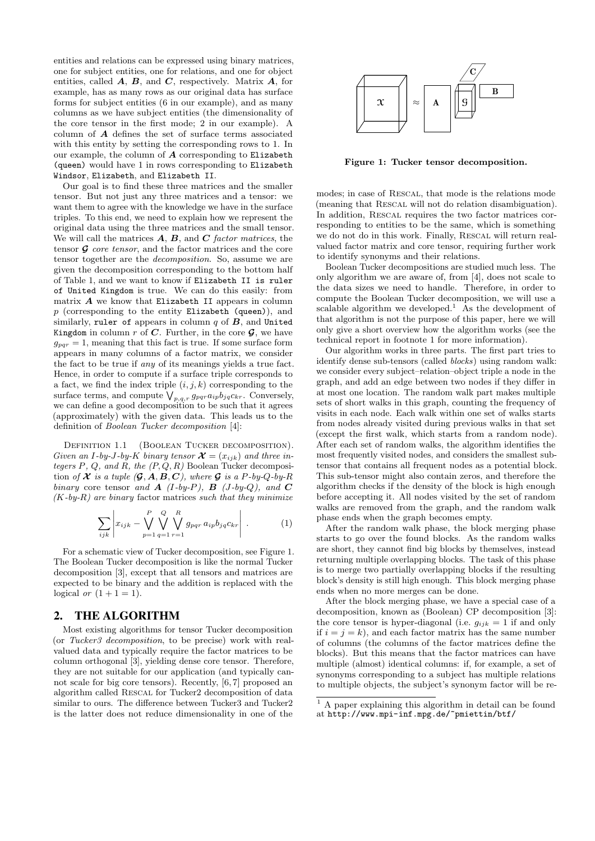entities and relations can be expressed using binary matrices, one for subject entities, one for relations, and one for object entities, called  $A$ ,  $B$ , and  $C$ , respectively. Matrix  $A$ , for example, has as many rows as our original data has surface forms for subject entities (6 in our example), and as many columns as we have subject entities (the dimensionality of the core tensor in the first mode; 2 in our example). A column of A defines the set of surface terms associated with this entity by setting the corresponding rows to 1. In our example, the column of  $A$  corresponding to Elizabeth (queen) would have 1 in rows corresponding to Elizabeth Windsor, Elizabeth, and Elizabeth II.

Our goal is to find these three matrices and the smaller tensor. But not just any three matrices and a tensor: we want them to agree with the knowledge we have in the surface triples. To this end, we need to explain how we represent the original data using the three matrices and the small tensor. We will call the matrices  $\bf{A}$ ,  $\bf{B}$ , and  $\bf{C}$  factor matrices, the tensor  $\mathcal G$  core tensor, and the factor matrices and the core tensor together are the decomposition. So, assume we are given the decomposition corresponding to the bottom half of Table 1, and we want to know if Elizabeth II is ruler of United Kingdom is true. We can do this easily: from matrix  $A$  we know that Elizabeth II appears in column  $p$  (corresponding to the entity Elizabeth (queen)), and similarly, ruler of appears in column  $q$  of  $B$ , and United Kingdom in column r of C. Further, in the core  $\mathcal{G}$ , we have  $g_{pqr} = 1$ , meaning that this fact is true. If some surface form appears in many columns of a factor matrix, we consider the fact to be true if any of its meanings yields a true fact. Hence, in order to compute if a surface triple corresponds to a fact, we find the index triple  $(i, j, k)$  corresponding to the surface terms, and compute  $\bigvee_{p,q,r} g_{pqr}a_{ip}b_{jq}c_{kr}$ . Conversely, we can define a good decomposition to be such that it agrees (approximately) with the given data. This leads us to the definition of Boolean Tucker decomposition [4]:

DEFINITION 1.1 (BOOLEAN TUCKER DECOMPOSITION). Given an I-by-J-by-K binary tensor  $\mathcal{X} = (x_{ijk})$  and three integers  $P$ ,  $Q$ , and  $R$ , the  $(P, Q, R)$  Boolean Tucker decomposition of  $X$  is a tuple  $(\mathcal{G}, A, B, C)$ , where  $\mathcal G$  is a P-by-Q-by-R binary core tensor and  $\bf{A}$  (I-by-P),  $\bf{B}$  (J-by-Q), and  $\bf{C}$  $(K-by-R)$  are binary factor matrices such that they minimize

$$
\sum_{ijk} \left| x_{ijk} - \bigvee_{p=1}^{P} \bigvee_{q=1}^{Q} \bigvee_{r=1}^{R} g_{pqr} a_{ip} b_{jq} c_{kr} \right| . \tag{1}
$$

For a schematic view of Tucker decomposition, see Figure 1. The Boolean Tucker decomposition is like the normal Tucker decomposition [3], except that all tensors and matrices are expected to be binary and the addition is replaced with the logical or  $(1+1=1)$ .

### 2. THE ALGORITHM

Most existing algorithms for tensor Tucker decomposition (or Tucker3 decomposition, to be precise) work with realvalued data and typically require the factor matrices to be column orthogonal [3], yielding dense core tensor. Therefore, they are not suitable for our application (and typically cannot scale for big core tensors). Recently, [6, 7] proposed an algorithm called Rescal for Tucker2 decomposition of data similar to ours. The difference between Tucker3 and Tucker2 is the latter does not reduce dimensionality in one of the



Figure 1: Tucker tensor decomposition.

modes; in case of Rescal, that mode is the relations mode (meaning that Rescal will not do relation disambiguation). In addition, Rescal requires the two factor matrices corresponding to entities to be the same, which is something we do not do in this work. Finally, RESCAL will return realvalued factor matrix and core tensor, requiring further work to identify synonyms and their relations.

Boolean Tucker decompositions are studied much less. The only algorithm we are aware of, from [4], does not scale to the data sizes we need to handle. Therefore, in order to compute the Boolean Tucker decomposition, we will use a scalable algorithm we developed.<sup>1</sup> As the development of that algorithm is not the purpose of this paper, here we will only give a short overview how the algorithm works (see the technical report in footnote 1 for more information).

Our algorithm works in three parts. The first part tries to identify dense sub-tensors (called *blocks*) using random walk: we consider every subject–relation–object triple a node in the graph, and add an edge between two nodes if they differ in at most one location. The random walk part makes multiple sets of short walks in this graph, counting the frequency of visits in each node. Each walk within one set of walks starts from nodes already visited during previous walks in that set (except the first walk, which starts from a random node). After each set of random walks, the algorithm identifies the most frequently visited nodes, and considers the smallest subtensor that contains all frequent nodes as a potential block. This sub-tensor might also contain zeros, and therefore the algorithm checks if the density of the block is high enough before accepting it. All nodes visited by the set of random walks are removed from the graph, and the random walk phase ends when the graph becomes empty.

After the random walk phase, the block merging phase starts to go over the found blocks. As the random walks are short, they cannot find big blocks by themselves, instead returning multiple overlapping blocks. The task of this phase is to merge two partially overlapping blocks if the resulting block's density is still high enough. This block merging phase ends when no more merges can be done.

After the block merging phase, we have a special case of a decomposition, known as (Boolean) CP decomposition [3]: the core tensor is hyper-diagonal (i.e.  $g_{ijk} = 1$  if and only if  $i = j = k$ , and each factor matrix has the same number of columns (the columns of the factor matrices define the blocks). But this means that the factor matrices can have multiple (almost) identical columns: if, for example, a set of synonyms corresponding to a subject has multiple relations to multiple objects, the subject's synonym factor will be re-

<sup>&</sup>lt;sup>1</sup> A paper explaining this algorithm in detail can be found at http://www.mpi-inf.mpg.de/~pmiettin/btf/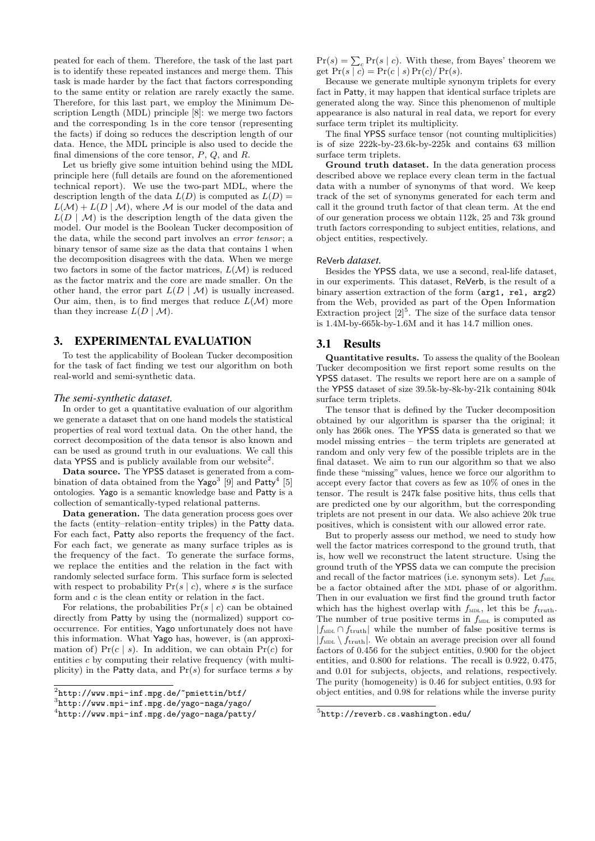peated for each of them. Therefore, the task of the last part is to identify these repeated instances and merge them. This task is made harder by the fact that factors corresponding to the same entity or relation are rarely exactly the same. Therefore, for this last part, we employ the Minimum Description Length (MDL) principle [8]: we merge two factors and the corresponding 1s in the core tensor (representing the facts) if doing so reduces the description length of our data. Hence, the MDL principle is also used to decide the final dimensions of the core tensor,  $P$ ,  $Q$ , and  $R$ .

Let us briefly give some intuition behind using the MDL principle here (full details are found on the aforementioned technical report). We use the two-part MDL, where the description length of the data  $L(D)$  is computed as  $L(D)$  =  $L(\mathcal{M}) + L(D \mid \mathcal{M})$ , where M is our model of the data and  $L(D \mid \mathcal{M})$  is the description length of the data given the model. Our model is the Boolean Tucker decomposition of the data, while the second part involves an *error tensor*; a binary tensor of same size as the data that contains 1 when the decomposition disagrees with the data. When we merge two factors in some of the factor matrices,  $L(M)$  is reduced as the factor matrix and the core are made smaller. On the other hand, the error part  $L(D \mid \mathcal{M})$  is usually increased. Our aim, then, is to find merges that reduce  $L(\mathcal{M})$  more than they increase  $L(D | \mathcal{M})$ .

#### 3. EXPERIMENTAL EVALUATION

To test the applicability of Boolean Tucker decomposition for the task of fact finding we test our algorithm on both real-world and semi-synthetic data.

#### *The semi-synthetic dataset.*

In order to get a quantitative evaluation of our algorithm we generate a dataset that on one hand models the statistical properties of real word textual data. On the other hand, the correct decomposition of the data tensor is also known and can be used as ground truth in our evaluations. We call this data YPSS and is publicly available from our website<sup>2</sup>.

Data source. The YPSS dataset is generated from a combination of data obtained from the Yago<sup>3</sup> [9] and Patty<sup>4</sup> [5] ontologies. Yago is a semantic knowledge base and Patty is a collection of semantically-typed relational patterns.

Data generation. The data generation process goes over the facts (entity–relation–entity triples) in the Patty data. For each fact, Patty also reports the frequency of the fact. For each fact, we generate as many surface triples as is the frequency of the fact. To generate the surface forms, we replace the entities and the relation in the fact with randomly selected surface form. This surface form is selected with respect to probability  $Pr(s | c)$ , where s is the surface form and  $c$  is the clean entity or relation in the fact.

For relations, the probabilities  $Pr(s | c)$  can be obtained directly from Patty by using the (normalized) support cooccurrence. For entities, Yago unfortunately does not have this information. What Yago has, however, is (an approximation of)  $Pr(c | s)$ . In addition, we can obtain  $Pr(c)$  for entities c by computing their relative frequency (with multiplicity) in the Patty data, and  $Pr(s)$  for surface terms s by

 $Pr(s) = \sum_{c} Pr(s | c)$ . With these, from Bayes' theorem we get  $Pr(s | c) = Pr(c | s) Pr(c)/Pr(s)$ .

Because we generate multiple synonym triplets for every fact in Patty, it may happen that identical surface triplets are generated along the way. Since this phenomenon of multiple appearance is also natural in real data, we report for every surface term triplet its multiplicity.

The final YPSS surface tensor (not counting multiplicities) is of size 222k-by-23.6k-by-225k and contains 63 million surface term triplets.

Ground truth dataset. In the data generation process described above we replace every clean term in the factual data with a number of synonyms of that word. We keep track of the set of synonyms generated for each term and call it the ground truth factor of that clean term. At the end of our generation process we obtain 112k, 25 and 73k ground truth factors corresponding to subject entities, relations, and object entities, respectively.

#### ReVerb *dataset.*

Besides the YPSS data, we use a second, real-life dataset, in our experiments. This dataset, ReVerb, is the result of a binary assertion extraction of the form (arg1, rel, arg2) from the Web, provided as part of the Open Information Extraction project  $[2]^{5}$ . The size of the surface data tensor is 1.4M-by-665k-by-1.6M and it has 14.7 million ones.

#### 3.1 Results

Quantitative results. To assess the quality of the Boolean Tucker decomposition we first report some results on the YPSS dataset. The results we report here are on a sample of the YPSS dataset of size 39.5k-by-8k-by-21k containing 804k surface term triplets.

The tensor that is defined by the Tucker decomposition obtained by our algorithm is sparser tha the original; it only has 266k ones. The YPSS data is generated so that we model missing entries – the term triplets are generated at random and only very few of the possible triplets are in the final dataset. We aim to run our algorithm so that we also finde these "missing" values, hence we force our algorithm to accept every factor that covers as few as 10% of ones in the tensor. The result is 247k false positive hits, thus cells that are predicted one by our algorithm, but the corresponding triplets are not present in our data. We also achieve 20k true positives, which is consistent with our allowed error rate.

But to properly assess our method, we need to study how well the factor matrices correspond to the ground truth, that is, how well we reconstruct the latent structure. Using the ground truth of the YPSS data we can compute the precision and recall of the factor matrices (i.e. synonym sets). Let  $f_{MDL}$ be a factor obtained after the MDL phase of or algorithm. Then in our evaluation we first find the ground truth factor which has the highest overlap with  $f_{MDL}$ , let this be  $f_{truth}$ . The number of true positive terms in  $f_{ML}$  is computed as  $|f_{\text{MDL}} \cap f_{\text{truth}}|$  while the number of false positive terms is  $|f_{\text{MDL}} \setminus f_{\text{truth}}|$ . We obtain an average precision over all found factors of 0.456 for the subject entities, 0.900 for the object entities, and 0.800 for relations. The recall is 0.922, 0.475, and 0.01 for subjects, objects, and relations, respectively. The purity (homogeneity) is 0.46 for subject entities, 0.93 for object entities, and 0.98 for relations while the inverse purity

 $^{2}$ http://www.mpi-inf.mpg.de/~pmiettin/btf/

<sup>3</sup> http://www.mpi-inf.mpg.de/yago-naga/yago/

<sup>4</sup> http://www.mpi-inf.mpg.de/yago-naga/patty/

<sup>5</sup> http://reverb.cs.washington.edu/